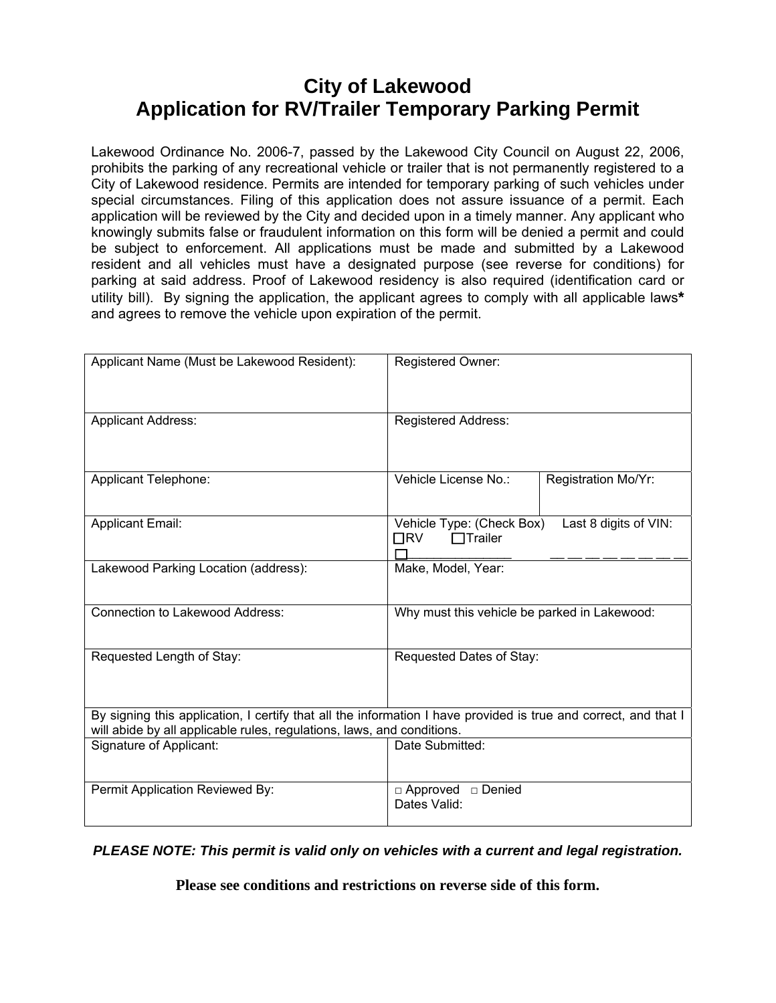## **City of Lakewood Application for RV/Trailer Temporary Parking Permit**

Lakewood Ordinance No. 2006-7, passed by the Lakewood City Council on August 22, 2006, prohibits the parking of any recreational vehicle or trailer that is not permanently registered to a City of Lakewood residence. Permits are intended for temporary parking of such vehicles under special circumstances. Filing of this application does not assure issuance of a permit. Each application will be reviewed by the City and decided upon in a timely manner. Any applicant who knowingly submits false or fraudulent information on this form will be denied a permit and could be subject to enforcement. All applications must be made and submitted by a Lakewood resident and all vehicles must have a designated purpose (see reverse for conditions) for parking at said address. Proof of Lakewood residency is also required (identification card or utility bill). By signing the application, the applicant agrees to comply with all applicable laws**\***  and agrees to remove the vehicle upon expiration of the permit.

| Applicant Name (Must be Lakewood Resident):                                                                                                                                               | Registered Owner:                                                                 |                     |
|-------------------------------------------------------------------------------------------------------------------------------------------------------------------------------------------|-----------------------------------------------------------------------------------|---------------------|
| <b>Applicant Address:</b>                                                                                                                                                                 | <b>Registered Address:</b>                                                        |                     |
| Applicant Telephone:                                                                                                                                                                      | Vehicle License No.:                                                              | Registration Mo/Yr: |
| <b>Applicant Email:</b>                                                                                                                                                                   | Vehicle Type: (Check Box)<br>Last 8 digits of VIN:<br>$\Box$ RV<br>$\Box$ Trailer |                     |
| Lakewood Parking Location (address):                                                                                                                                                      | Make, Model, Year:                                                                |                     |
| <b>Connection to Lakewood Address:</b>                                                                                                                                                    | Why must this vehicle be parked in Lakewood:                                      |                     |
| Requested Length of Stay:                                                                                                                                                                 | Requested Dates of Stay:                                                          |                     |
| By signing this application, I certify that all the information I have provided is true and correct, and that I<br>will abide by all applicable rules, regulations, laws, and conditions. |                                                                                   |                     |
| Signature of Applicant:                                                                                                                                                                   | Date Submitted:                                                                   |                     |
| Permit Application Reviewed By:                                                                                                                                                           | $\Box$ Approved $\Box$ Denied<br>Dates Valid:                                     |                     |

*PLEASE NOTE: This permit is valid only on vehicles with a current and legal registration.* 

**Please see conditions and restrictions on reverse side of this form.**